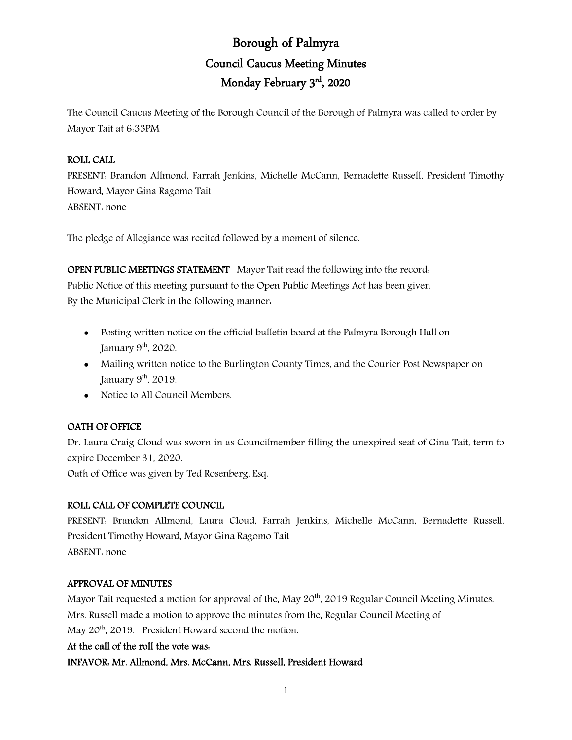# Borough of Palmyra Council Caucus Meeting Minutes Monday February 3rd, 2020

The Council Caucus Meeting of the Borough Council of the Borough of Palmyra was called to order by Mayor Tait at 6:33PM

# ROLL CALL

PRESENT: Brandon Allmond, Farrah Jenkins, Michelle McCann, Bernadette Russell, President Timothy Howard, Mayor Gina Ragomo Tait ABSENT: none

The pledge of Allegiance was recited followed by a moment of silence.

OPEN PUBLIC MEETINGS STATEMENT Mayor Tait read the following into the record: Public Notice of this meeting pursuant to the Open Public Meetings Act has been given By the Municipal Clerk in the following manner:

- Posting written notice on the official bulletin board at the Palmyra Borough Hall on January  $9<sup>th</sup>$ , 2020.
- Mailing written notice to the Burlington County Times, and the Courier Post Newspaper on January  $9<sup>th</sup>$ , 2019.
- Notice to All Council Members.

# OATH OF OFFICE

Dr. Laura Craig Cloud was sworn in as Councilmember filling the unexpired seat of Gina Tait, term to expire December 31, 2020.

Oath of Office was given by Ted Rosenberg, Esq.

# ROLL CALL OF COMPLETE COUNCIL

PRESENT: Brandon Allmond, Laura Cloud, Farrah Jenkins, Michelle McCann, Bernadette Russell, President Timothy Howard, Mayor Gina Ragomo Tait ABSENT: none

# APPROVAL OF MINUTES

Mayor Tait requested a motion for approval of the, May 20<sup>th</sup>, 2019 Regular Council Meeting Minutes. Mrs. Russell made a motion to approve the minutes from the, Regular Council Meeting of May 20<sup>th</sup>, 2019. President Howard second the motion.

#### At the call of the roll the vote was:

INFAVOR: Mr. Allmond, Mrs. McCann, Mrs. Russell, President Howard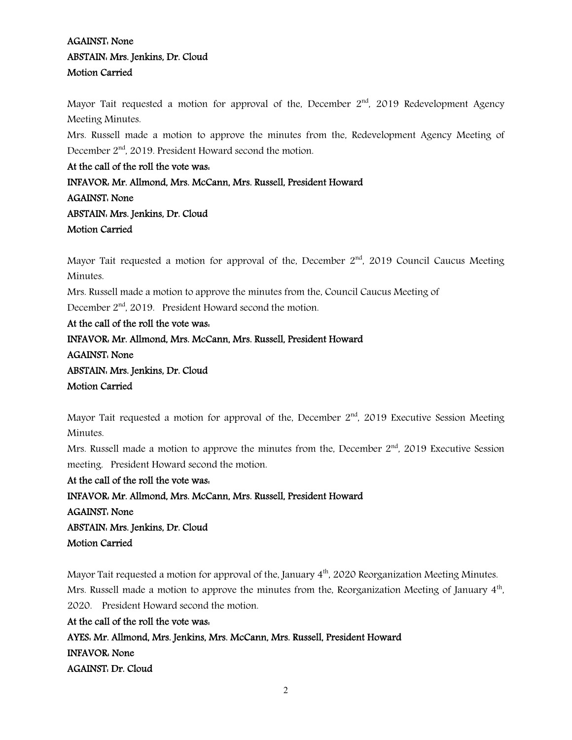# AGAINST: None ABSTAIN: Mrs. Jenkins, Dr. Cloud Motion Carried

Mayor Tait requested a motion for approval of the, December  $2<sup>nd</sup>$ , 2019 Redevelopment Agency Meeting Minutes.

Mrs. Russell made a motion to approve the minutes from the, Redevelopment Agency Meeting of December  $2<sup>nd</sup>$ , 2019. President Howard second the motion.

At the call of the roll the vote was: INFAVOR: Mr. Allmond, Mrs. McCann, Mrs. Russell, President Howard AGAINST: None ABSTAIN: Mrs. Jenkins, Dr. Cloud Motion Carried

Mayor Tait requested a motion for approval of the, December  $2<sup>nd</sup>$ , 2019 Council Caucus Meeting Minutes.

Mrs. Russell made a motion to approve the minutes from the, Council Caucus Meeting of

December 2<sup>nd</sup>, 2019. President Howard second the motion.

At the call of the roll the vote was: INFAVOR: Mr. Allmond, Mrs. McCann, Mrs. Russell, President Howard AGAINST: None ABSTAIN: Mrs. Jenkins, Dr. Cloud Motion Carried

Mayor Tait requested a motion for approval of the, December  $2<sup>nd</sup>$ , 2019 Executive Session Meeting Minutes.

Mrs. Russell made a motion to approve the minutes from the, December  $2<sup>nd</sup>$ , 2019 Executive Session meeting. President Howard second the motion.

At the call of the roll the vote was: INFAVOR: Mr. Allmond, Mrs. McCann, Mrs. Russell, President Howard AGAINST: None ABSTAIN: Mrs. Jenkins, Dr. Cloud Motion Carried

Mayor Tait requested a motion for approval of the, January  $4<sup>th</sup>$ , 2020 Reorganization Meeting Minutes. Mrs. Russell made a motion to approve the minutes from the, Reorganization Meeting of January 4<sup>th</sup>, 2020. President Howard second the motion.

At the call of the roll the vote was: AYES: Mr. Allmond, Mrs. Jenkins, Mrs. McCann, Mrs. Russell, President Howard INFAVOR: None AGAINST: Dr. Cloud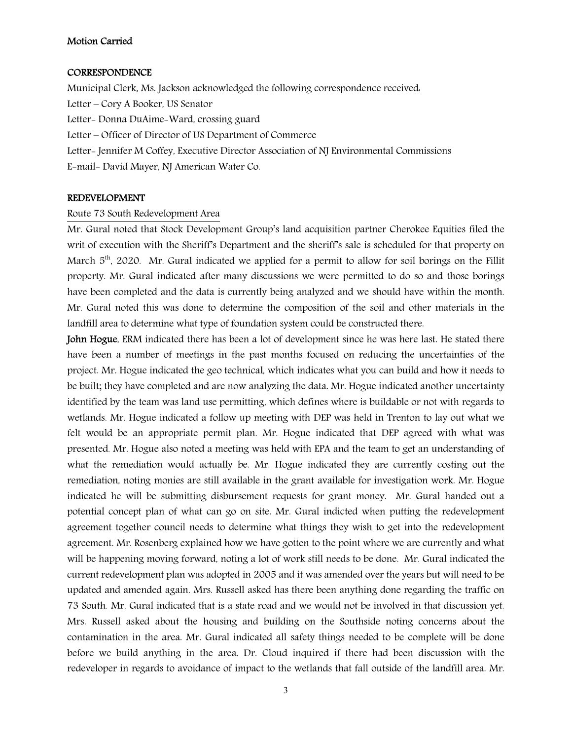#### Motion Carried

#### **CORRESPONDENCE**

Municipal Clerk, Ms. Jackson acknowledged the following correspondence received: Letter – Cory A Booker, US Senator Letter- Donna DuAime-Ward, crossing guard Letter – Officer of Director of US Department of Commerce Letter- Jennifer M Coffey, Executive Director Association of NJ Environmental Commissions E-mail- David Mayer, NJ American Water Co.

#### REDEVELOPMENT

#### Route 73 South Redevelopment Area

Mr. Gural noted that Stock Development Group's land acquisition partner Cherokee Equities filed the writ of execution with the Sheriff's Department and the sheriff's sale is scheduled for that property on March 5<sup>th</sup>, 2020. Mr. Gural indicated we applied for a permit to allow for soil borings on the Fillit property. Mr. Gural indicated after many discussions we were permitted to do so and those borings have been completed and the data is currently being analyzed and we should have within the month. Mr. Gural noted this was done to determine the composition of the soil and other materials in the landfill area to determine what type of foundation system could be constructed there.

John Hogue, ERM indicated there has been a lot of development since he was here last. He stated there have been a number of meetings in the past months focused on reducing the uncertainties of the project. Mr. Hogue indicated the geo technical, which indicates what you can build and how it needs to be built; they have completed and are now analyzing the data. Mr. Hogue indicated another uncertainty identified by the team was land use permitting, which defines where is buildable or not with regards to wetlands. Mr. Hogue indicated a follow up meeting with DEP was held in Trenton to lay out what we felt would be an appropriate permit plan. Mr. Hogue indicated that DEP agreed with what was presented. Mr. Hogue also noted a meeting was held with EPA and the team to get an understanding of what the remediation would actually be. Mr. Hogue indicated they are currently costing out the remediation, noting monies are still available in the grant available for investigation work. Mr. Hogue indicated he will be submitting disbursement requests for grant money. Mr. Gural handed out a potential concept plan of what can go on site. Mr. Gural indicted when putting the redevelopment agreement together council needs to determine what things they wish to get into the redevelopment agreement. Mr. Rosenberg explained how we have gotten to the point where we are currently and what will be happening moving forward, noting a lot of work still needs to be done. Mr. Gural indicated the current redevelopment plan was adopted in 2005 and it was amended over the years but will need to be updated and amended again. Mrs. Russell asked has there been anything done regarding the traffic on 73 South. Mr. Gural indicated that is a state road and we would not be involved in that discussion yet. Mrs. Russell asked about the housing and building on the Southside noting concerns about the contamination in the area. Mr. Gural indicated all safety things needed to be complete will be done before we build anything in the area. Dr. Cloud inquired if there had been discussion with the redeveloper in regards to avoidance of impact to the wetlands that fall outside of the landfill area. Mr.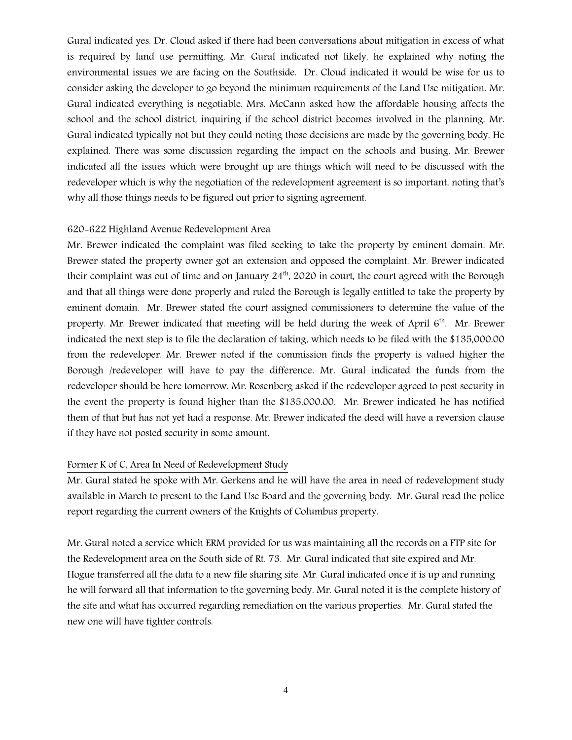Gural indicated yes. Dr. Cloud asked if there had been conversations about mitigation in excess of what is required by land use permitting. Mr. Gural indicated not likely, he explained why noting the environmental issues we are facing on the Southside. Dr. Cloud indicated it would be wise for us to consider asking the developer to go beyond the minimum requirements of the Land Use mitigation. Mr. Gural indicated everything is negotiable. Mrs. McCann asked how the affordable housing affects the school and the school district, inquiring if the school district becomes involved in the planning. Mr. Gural indicated typically not but they could noting those decisions are made by the governing body. He explained. There was some discussion regarding the impact on the schools and busing. Mr. Brewer indicated all the issues which were brought up are things which will need to be discussed with the redeveloper which is why the negotiation of the redevelopment agreement is so important, noting that's why all those things needs to be figured out prior to signing agreement.

#### 620-622 Highland Avenue Redevelopment Area

Mr. Brewer indicated the complaint was filed seeking to take the property by eminent domain. Mr. Brewer stated the property owner got an extension and opposed the complaint. Mr. Brewer indicated their complaint was out of time and on January  $24<sup>th</sup>$ , 2020 in court, the court agreed with the Borough and that all things were done properly and ruled the Borough is legally entitled to take the property by eminent domain. Mr. Brewer stated the court assigned commissioners to determine the value of the property. Mr. Brewer indicated that meeting will be held during the week of April  $6<sup>th</sup>$ . Mr. Brewer indicated the next step is to file the declaration of taking, which needs to be filed with the \$135,000.00 from the redeveloper. Mr. Brewer noted if the commission finds the property is valued higher the Borough /redeveloper will have to pay the difference. Mr. Gural indicated the funds from the redeveloper should be here tomorrow. Mr. Rosenberg asked if the redeveloper agreed to post security in the event the property is found higher than the \$135,000.00. Mr. Brewer indicated he has notified them of that but has not yet had a response. Mr. Brewer indicated the deed will have a reversion clause if they have not posted security in some amount.

#### Former K of C, Area In Need of Redevelopment Study

Mr. Gural stated he spoke with Mr. Gerkens and he will have the area in need of redevelopment study available in March to present to the Land Use Board and the governing body. Mr. Gural read the police report regarding the current owners of the Knights of Columbus property.

Mr. Gural noted a service which ERM provided for us was maintaining all the records on a FTP site for the Redevelopment area on the South side of Rt. 73. Mr. Gural indicated that site expired and Mr. Hogue transferred all the data to a new file sharing site. Mr. Gural indicated once it is up and running he will forward all that information to the governing body. Mr. Gural noted it is the complete history of the site and what has occurred regarding remediation on the various properties. Mr. Gural stated the new one will have tighter controls.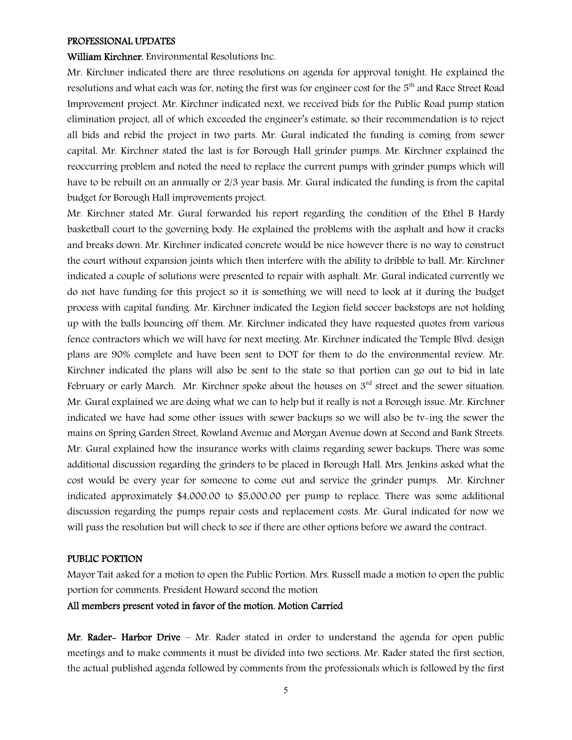#### PROFESSIONAL UPDATES

#### William Kirchner, Environmental Resolutions Inc.

Mr. Kirchner indicated there are three resolutions on agenda for approval tonight. He explained the resolutions and what each was for, noting the first was for engineer cost for the 5<sup>th</sup> and Race Street Road Improvement project. Mr. Kirchner indicated next, we received bids for the Public Road pump station elimination project, all of which exceeded the engineer's estimate, so their recommendation is to reject all bids and rebid the project in two parts. Mr. Gural indicated the funding is coming from sewer capital. Mr. Kirchner stated the last is for Borough Hall grinder pumps. Mr. Kirchner explained the reoccurring problem and noted the need to replace the current pumps with grinder pumps which will have to be rebuilt on an annually or 2/3 year basis. Mr. Gural indicated the funding is from the capital budget for Borough Hall improvements project.

Mr. Kirchner stated Mr. Gural forwarded his report regarding the condition of the Ethel B Hardy basketball court to the governing body. He explained the problems with the asphalt and how it cracks and breaks down. Mr. Kirchner indicated concrete would be nice however there is no way to construct the court without expansion joints which then interfere with the ability to dribble to ball. Mr. Kirchner indicated a couple of solutions were presented to repair with asphalt. Mr. Gural indicated currently we do not have funding for this project so it is something we will need to look at it during the budget process with capital funding. Mr. Kirchner indicated the Legion field soccer backstops are not holding up with the balls bouncing off them. Mr. Kirchner indicated they have requested quotes from various fence contractors which we will have for next meeting. Mr. Kirchner indicated the Temple Blvd. design plans are 90% complete and have been sent to DOT for them to do the environmental review. Mr. Kirchner indicated the plans will also be sent to the state so that portion can go out to bid in late February or early March. Mr. Kirchner spoke about the houses on  $3<sup>rd</sup>$  street and the sewer situation. Mr. Gural explained we are doing what we can to help but it really is not a Borough issue. Mr. Kirchner indicated we have had some other issues with sewer backups so we will also be tv-ing the sewer the mains on Spring Garden Street, Rowland Avenue and Morgan Avenue down at Second and Bank Streets. Mr. Gural explained how the insurance works with claims regarding sewer backups. There was some additional discussion regarding the grinders to be placed in Borough Hall. Mrs. Jenkins asked what the cost would be every year for someone to come out and service the grinder pumps. Mr. Kirchner indicated approximately \$4,000.00 to \$5,000.00 per pump to replace. There was some additional discussion regarding the pumps repair costs and replacement costs. Mr. Gural indicated for now we will pass the resolution but will check to see if there are other options before we award the contract.

#### PUBLIC PORTION

Mayor Tait asked for a motion to open the Public Portion. Mrs. Russell made a motion to open the public portion for comments. President Howard second the motion

#### All members present voted in favor of the motion. Motion Carried

Mr. Rader- Harbor Drive - Mr. Rader stated in order to understand the agenda for open public meetings and to make comments it must be divided into two sections. Mr. Rader stated the first section, the actual published agenda followed by comments from the professionals which is followed by the first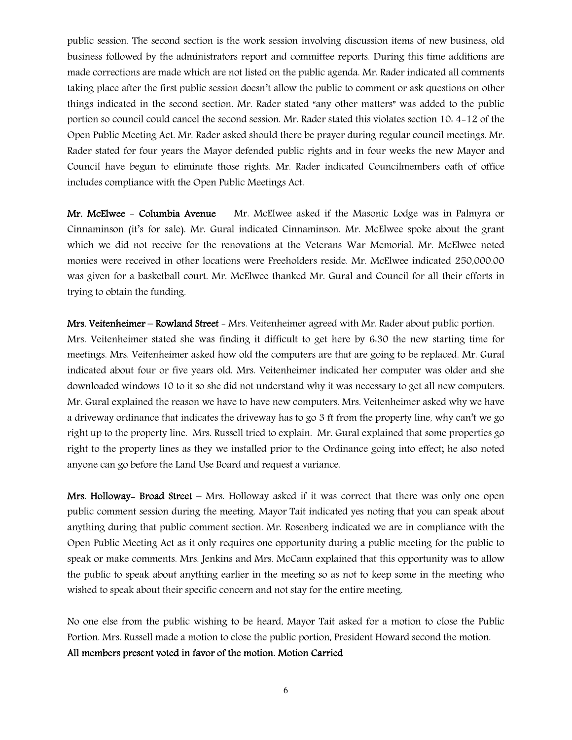public session. The second section is the work session involving discussion items of new business, old business followed by the administrators report and committee reports. During this time additions are made corrections are made which are not listed on the public agenda. Mr. Rader indicated all comments taking place after the first public session doesn't allow the public to comment or ask questions on other things indicated in the second section. Mr. Rader stated "any other matters" was added to the public portion so council could cancel the second session. Mr. Rader stated this violates section 10: 4-12 of the Open Public Meeting Act. Mr. Rader asked should there be prayer during regular council meetings. Mr. Rader stated for four years the Mayor defended public rights and in four weeks the new Mayor and Council have begun to eliminate those rights. Mr. Rader indicated Councilmembers oath of office includes compliance with the Open Public Meetings Act.

Mr. McElwee - Columbia Avenue Mr. McElwee asked if the Masonic Lodge was in Palmyra or Cinnaminson (it's for sale). Mr. Gural indicated Cinnaminson. Mr. McElwee spoke about the grant which we did not receive for the renovations at the Veterans War Memorial. Mr. McElwee noted monies were received in other locations were Freeholders reside. Mr. McElwee indicated 250,000.00 was given for a basketball court. Mr. McElwee thanked Mr. Gural and Council for all their efforts in trying to obtain the funding.

Mrs. Veitenheimer – Rowland Street - Mrs. Veitenheimer agreed with Mr. Rader about public portion. Mrs. Veitenheimer stated she was finding it difficult to get here by 6:30 the new starting time for meetings. Mrs. Veitenheimer asked how old the computers are that are going to be replaced. Mr. Gural indicated about four or five years old. Mrs. Veitenheimer indicated her computer was older and she downloaded windows 10 to it so she did not understand why it was necessary to get all new computers. Mr. Gural explained the reason we have to have new computers. Mrs. Veitenheimer asked why we have a driveway ordinance that indicates the driveway has to go 3 ft from the property line, why can't we go right up to the property line. Mrs. Russell tried to explain. Mr. Gural explained that some properties go right to the property lines as they we installed prior to the Ordinance going into effect; he also noted anyone can go before the Land Use Board and request a variance.

Mrs. Holloway- Broad Street – Mrs. Holloway asked if it was correct that there was only one open public comment session during the meeting. Mayor Tait indicated yes noting that you can speak about anything during that public comment section. Mr. Rosenberg indicated we are in compliance with the Open Public Meeting Act as it only requires one opportunity during a public meeting for the public to speak or make comments. Mrs. Jenkins and Mrs. McCann explained that this opportunity was to allow the public to speak about anything earlier in the meeting so as not to keep some in the meeting who wished to speak about their specific concern and not stay for the entire meeting.

No one else from the public wishing to be heard, Mayor Tait asked for a motion to close the Public Portion. Mrs. Russell made a motion to close the public portion, President Howard second the motion. All members present voted in favor of the motion. Motion Carried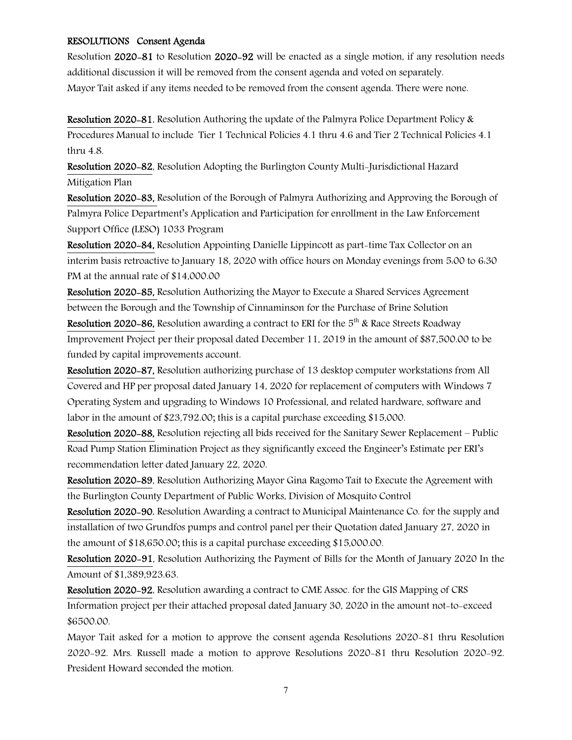#### RESOLUTIONS Consent Agenda

Resolution 2020-81 to Resolution 2020-92 will be enacted as a single motion, if any resolution needs additional discussion it will be removed from the consent agenda and voted on separately. Mayor Tait asked if any items needed to be removed from the consent agenda. There were none.

Resolution 2020-81, Resolution Authoring the update of the Palmyra Police Department Policy & Procedures Manual to include Tier 1 Technical Policies 4.1 thru 4.6 and Tier 2 Technical Policies 4.1 thru 4.8.

Resolution 2020-82, Resolution Adopting the Burlington County Multi-Jurisdictional Hazard Mitigation Plan

Resolution 2020-83, Resolution of the Borough of Palmyra Authorizing and Approving the Borough of Palmyra Police Department's Application and Participation for enrollment in the Law Enforcement Support Office (LESO) 1033 Program

Resolution 2020-84, Resolution Appointing Danielle Lippincott as part-time Tax Collector on an interim basis retroactive to January 18, 2020 with office hours on Monday evenings from 5:00 to 6:30 PM at the annual rate of \$14,000.00

Resolution 2020-85, Resolution Authorizing the Mayor to Execute a Shared Services Agreement between the Borough and the Township of Cinnaminson for the Purchase of Brine Solution

**Resolution 2020-86,** Resolution awarding a contract to ERI for the  $5<sup>th</sup>$  & Race Streets Roadway Improvement Project per their proposal dated December 11, 2019 in the amount of \$87,500.00 to be funded by capital improvements account.

Resolution 2020-87, Resolution authorizing purchase of 13 desktop computer workstations from All Covered and HP per proposal dated January 14, 2020 for replacement of computers with Windows 7 Operating System and upgrading to Windows 10 Professional, and related hardware, software and labor in the amount of \$23,792.00; this is a capital purchase exceeding \$15,000.

Resolution 2020-88, Resolution rejecting all bids received for the Sanitary Sewer Replacement – Public Road Pump Station Elimination Project as they significantly exceed the Engineer's Estimate per ERI's recommendation letter dated January 22, 2020.

Resolution 2020-89, Resolution Authorizing Mayor Gina Ragomo Tait to Execute the Agreement with the Burlington County Department of Public Works, Division of Mosquito Control

Resolution 2020-90, Resolution Awarding a contract to Municipal Maintenance Co. for the supply and installation of two Grundfos pumps and control panel per their Quotation dated January 27, 2020 in the amount of \$18,650.00; this is a capital purchase exceeding \$15,000.00.

Resolution 2020-91, Resolution Authorizing the Payment of Bills for the Month of January 2020 In the Amount of \$1,389,923.63.

Resolution 2020-92, Resolution awarding a contract to CME Assoc. for the GIS Mapping of CRS Information project per their attached proposal dated January 30, 2020 in the amount not-to-exceed \$6500.00.

Mayor Tait asked for a motion to approve the consent agenda Resolutions 2020-81 thru Resolution 2020-92. Mrs. Russell made a motion to approve Resolutions 2020-81 thru Resolution 2020-92. President Howard seconded the motion.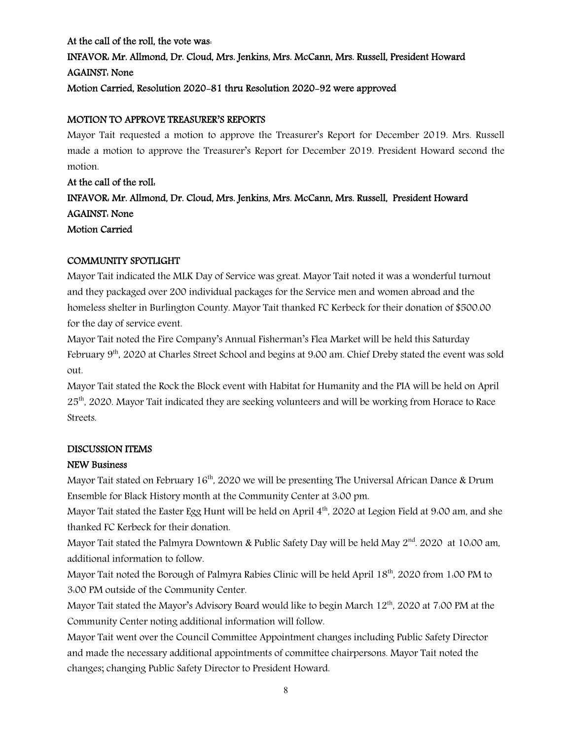# At the call of the roll, the vote was: INFAVOR: Mr. Allmond, Dr. Cloud, Mrs. Jenkins, Mrs. McCann, Mrs. Russell, President Howard AGAINST: None Motion Carried, Resolution 2020-81 thru Resolution 2020-92 were approved

# MOTION TO APPROVE TREASURER'S REPORTS

Mayor Tait requested a motion to approve the Treasurer's Report for December 2019. Mrs. Russell made a motion to approve the Treasurer's Report for December 2019. President Howard second the motion.

At the call of the roll: INFAVOR: Mr. Allmond, Dr. Cloud, Mrs. Jenkins, Mrs. McCann, Mrs. Russell, President Howard AGAINST: None Motion Carried

# COMMUNITY SPOTLIGHT

Mayor Tait indicated the MLK Day of Service was great. Mayor Tait noted it was a wonderful turnout and they packaged over 200 individual packages for the Service men and women abroad and the homeless shelter in Burlington County. Mayor Tait thanked FC Kerbeck for their donation of \$500.00 for the day of service event.

Mayor Tait noted the Fire Company's Annual Fisherman's Flea Market will be held this Saturday February 9<sup>th</sup>, 2020 at Charles Street School and begins at 9:00 am. Chief Dreby stated the event was sold out.

Mayor Tait stated the Rock the Block event with Habitat for Humanity and the PIA will be held on April 25<sup>th</sup>. 2020. Mayor Tait indicated they are seeking volunteers and will be working from Horace to Race Streets.

# DISCUSSION ITEMS

# NEW Business

Mayor Tait stated on February 16<sup>th</sup>, 2020 we will be presenting The Universal African Dance & Drum Ensemble for Black History month at the Community Center at 3:00 pm.

Mayor Tait stated the Easter Egg Hunt will be held on April 4<sup>th</sup>, 2020 at Legion Field at 9:00 am, and she thanked FC Kerbeck for their donation.

Mayor Tait stated the Palmyra Downtown & Public Safety Day will be held May  $2<sup>nd</sup>$ . 2020 at 10:00 am, additional information to follow.

Mayor Tait noted the Borough of Palmyra Rabies Clinic will be held April 18th, 2020 from 1:00 PM to 3:00 PM outside of the Community Center.

Mayor Tait stated the Mayor's Advisory Board would like to begin March 12<sup>th</sup>, 2020 at 7:00 PM at the Community Center noting additional information will follow.

Mayor Tait went over the Council Committee Appointment changes including Public Safety Director and made the necessary additional appointments of committee chairpersons. Mayor Tait noted the changes; changing Public Safety Director to President Howard.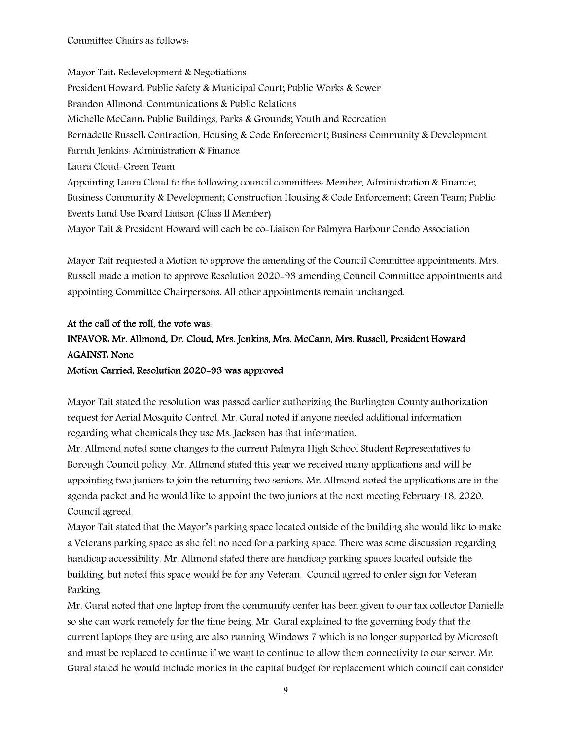Committee Chairs as follows:

Mayor Tait: Redevelopment & Negotiations President Howard: Public Safety & Municipal Court; Public Works & Sewer Brandon Allmond: Communications & Public Relations Michelle McCann: Public Buildings, Parks & Grounds; Youth and Recreation Bernadette Russell: Contraction, Housing & Code Enforcement; Business Community & Development Farrah Jenkins: Administration & Finance Laura Cloud: Green Team Appointing Laura Cloud to the following council committees: Member, Administration & Finance; Business Community & Development; Construction Housing & Code Enforcement; Green Team; Public Events Land Use Board Liaison (Class ll Member) Mayor Tait & President Howard will each be co-Liaison for Palmyra Harbour Condo Association

Mayor Tait requested a Motion to approve the amending of the Council Committee appointments. Mrs. Russell made a motion to approve Resolution 2020-93 amending Council Committee appointments and appointing Committee Chairpersons. All other appointments remain unchanged.

# At the call of the roll, the vote was: INFAVOR: Mr. Allmond, Dr. Cloud, Mrs. Jenkins, Mrs. McCann, Mrs. Russell, President Howard AGAINST: None Motion Carried, Resolution 2020-93 was approved

Mayor Tait stated the resolution was passed earlier authorizing the Burlington County authorization request for Aerial Mosquito Control. Mr. Gural noted if anyone needed additional information regarding what chemicals they use Ms. Jackson has that information.

Mr. Allmond noted some changes to the current Palmyra High School Student Representatives to Borough Council policy. Mr. Allmond stated this year we received many applications and will be appointing two juniors to join the returning two seniors. Mr. Allmond noted the applications are in the agenda packet and he would like to appoint the two juniors at the next meeting February 18, 2020. Council agreed.

Mayor Tait stated that the Mayor's parking space located outside of the building she would like to make a Veterans parking space as she felt no need for a parking space. There was some discussion regarding handicap accessibility. Mr. Allmond stated there are handicap parking spaces located outside the building, but noted this space would be for any Veteran. Council agreed to order sign for Veteran Parking.

Mr. Gural noted that one laptop from the community center has been given to our tax collector Danielle so she can work remotely for the time being. Mr. Gural explained to the governing body that the current laptops they are using are also running Windows 7 which is no longer supported by Microsoft and must be replaced to continue if we want to continue to allow them connectivity to our server. Mr. Gural stated he would include monies in the capital budget for replacement which council can consider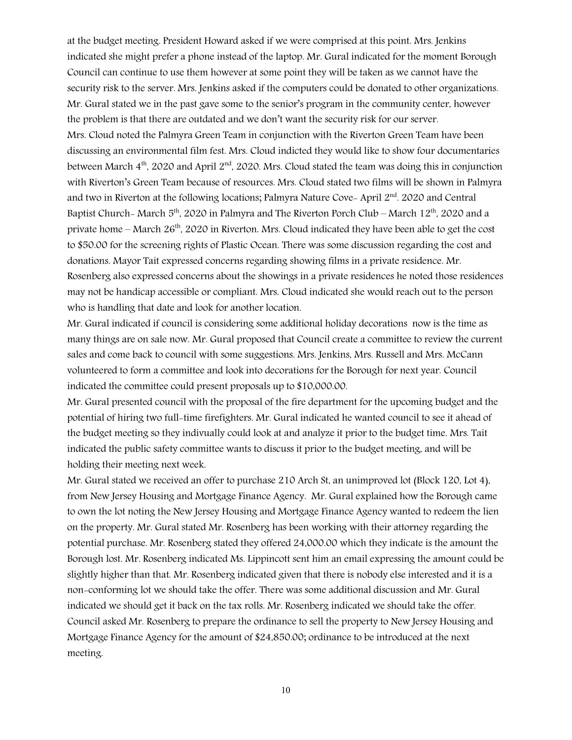at the budget meeting. President Howard asked if we were comprised at this point. Mrs. Jenkins indicated she might prefer a phone instead of the laptop. Mr. Gural indicated for the moment Borough Council can continue to use them however at some point they will be taken as we cannot have the security risk to the server. Mrs. Jenkins asked if the computers could be donated to other organizations. Mr. Gural stated we in the past gave some to the senior's program in the community center, however the problem is that there are outdated and we don't want the security risk for our server. Mrs. Cloud noted the Palmyra Green Team in conjunction with the Riverton Green Team have been discussing an environmental film fest. Mrs. Cloud indicted they would like to show four documentaries between March  $4<sup>th</sup>$ , 2020 and April 2<sup>nd</sup>, 2020. Mrs. Cloud stated the team was doing this in conjunction with Riverton's Green Team because of resources. Mrs. Cloud stated two films will be shown in Palmyra and two in Riverton at the following locations; Palmyra Nature Cove- April  $2<sup>nd</sup>$ . 2020 and Central Baptist Church- March  $5<sup>th</sup>$ , 2020 in Palmyra and The Riverton Porch Club – March 12<sup>th</sup>, 2020 and a private home  $-$  March  $26<sup>th</sup>$ , 2020 in Riverton. Mrs. Cloud indicated they have been able to get the cost to \$50.00 for the screening rights of Plastic Ocean. There was some discussion regarding the cost and donations. Mayor Tait expressed concerns regarding showing films in a private residence. Mr. Rosenberg also expressed concerns about the showings in a private residences he noted those residences may not be handicap accessible or compliant. Mrs. Cloud indicated she would reach out to the person who is handling that date and look for another location.

Mr. Gural indicated if council is considering some additional holiday decorations now is the time as many things are on sale now. Mr. Gural proposed that Council create a committee to review the current sales and come back to council with some suggestions. Mrs. Jenkins, Mrs. Russell and Mrs. McCann volunteered to form a committee and look into decorations for the Borough for next year. Council indicated the committee could present proposals up to \$10,000.00.

Mr. Gural presented council with the proposal of the fire department for the upcoming budget and the potential of hiring two full-time firefighters. Mr. Gural indicated he wanted council to see it ahead of the budget meeting so they indivually could look at and analyze it prior to the budget time. Mrs. Tait indicated the public safety committee wants to discuss it prior to the budget meeting, and will be holding their meeting next week.

Mr. Gural stated we received an offer to purchase 210 Arch St, an unimproved lot (Block 120, Lot 4), from New Jersey Housing and Mortgage Finance Agency. Mr. Gural explained how the Borough came to own the lot noting the New Jersey Housing and Mortgage Finance Agency wanted to redeem the lien on the property. Mr. Gural stated Mr. Rosenberg has been working with their attorney regarding the potential purchase. Mr. Rosenberg stated they offered 24,000.00 which they indicate is the amount the Borough lost. Mr. Rosenberg indicated Ms. Lippincott sent him an email expressing the amount could be slightly higher than that. Mr. Rosenberg indicated given that there is nobody else interested and it is a non-conforming lot we should take the offer. There was some additional discussion and Mr. Gural indicated we should get it back on the tax rolls. Mr. Rosenberg indicated we should take the offer. Council asked Mr. Rosenberg to prepare the ordinance to sell the property to New Jersey Housing and Mortgage Finance Agency for the amount of \$24,850.00; ordinance to be introduced at the next meeting.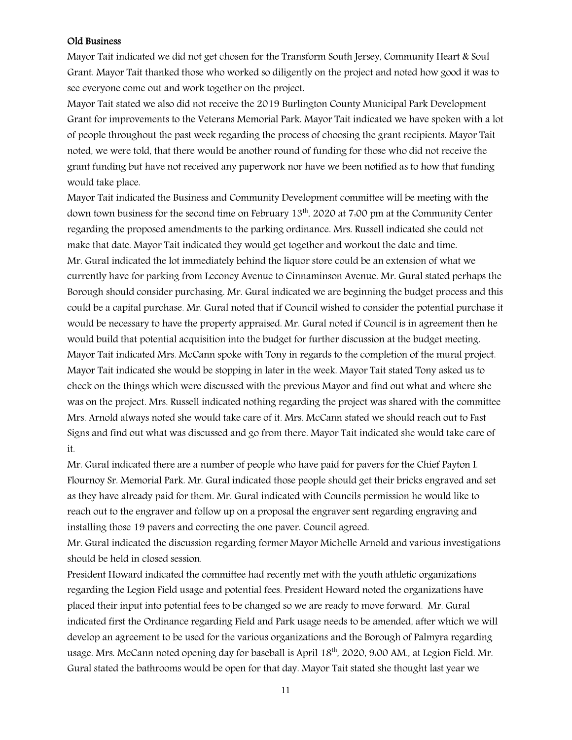#### Old Business

Mayor Tait indicated we did not get chosen for the Transform South Jersey, Community Heart & Soul Grant. Mayor Tait thanked those who worked so diligently on the project and noted how good it was to see everyone come out and work together on the project.

Mayor Tait stated we also did not receive the 2019 Burlington County Municipal Park Development Grant for improvements to the Veterans Memorial Park. Mayor Tait indicated we have spoken with a lot of people throughout the past week regarding the process of choosing the grant recipients. Mayor Tait noted, we were told, that there would be another round of funding for those who did not receive the grant funding but have not received any paperwork nor have we been notified as to how that funding would take place.

Mayor Tait indicated the Business and Community Development committee will be meeting with the down town business for the second time on February 13<sup>th</sup>, 2020 at 7:00 pm at the Community Center regarding the proposed amendments to the parking ordinance. Mrs. Russell indicated she could not make that date. Mayor Tait indicated they would get together and workout the date and time. Mr. Gural indicated the lot immediately behind the liquor store could be an extension of what we currently have for parking from Leconey Avenue to Cinnaminson Avenue. Mr. Gural stated perhaps the Borough should consider purchasing. Mr. Gural indicated we are beginning the budget process and this could be a capital purchase. Mr. Gural noted that if Council wished to consider the potential purchase it would be necessary to have the property appraised. Mr. Gural noted if Council is in agreement then he would build that potential acquisition into the budget for further discussion at the budget meeting. Mayor Tait indicated Mrs. McCann spoke with Tony in regards to the completion of the mural project. Mayor Tait indicated she would be stopping in later in the week. Mayor Tait stated Tony asked us to check on the things which were discussed with the previous Mayor and find out what and where she was on the project. Mrs. Russell indicated nothing regarding the project was shared with the committee Mrs. Arnold always noted she would take care of it. Mrs. McCann stated we should reach out to Fast Signs and find out what was discussed and go from there. Mayor Tait indicated she would take care of it.

Mr. Gural indicated there are a number of people who have paid for pavers for the Chief Payton I. Flournoy Sr. Memorial Park. Mr. Gural indicated those people should get their bricks engraved and set as they have already paid for them. Mr. Gural indicated with Councils permission he would like to reach out to the engraver and follow up on a proposal the engraver sent regarding engraving and installing those 19 pavers and correcting the one paver. Council agreed.

Mr. Gural indicated the discussion regarding former Mayor Michelle Arnold and various investigations should be held in closed session.

President Howard indicated the committee had recently met with the youth athletic organizations regarding the Legion Field usage and potential fees. President Howard noted the organizations have placed their input into potential fees to be changed so we are ready to move forward. Mr. Gural indicated first the Ordinance regarding Field and Park usage needs to be amended, after which we will develop an agreement to be used for the various organizations and the Borough of Palmyra regarding usage. Mrs. McCann noted opening day for baseball is April 18<sup>th</sup>, 2020, 9:00 AM., at Legion Field. Mr. Gural stated the bathrooms would be open for that day. Mayor Tait stated she thought last year we

11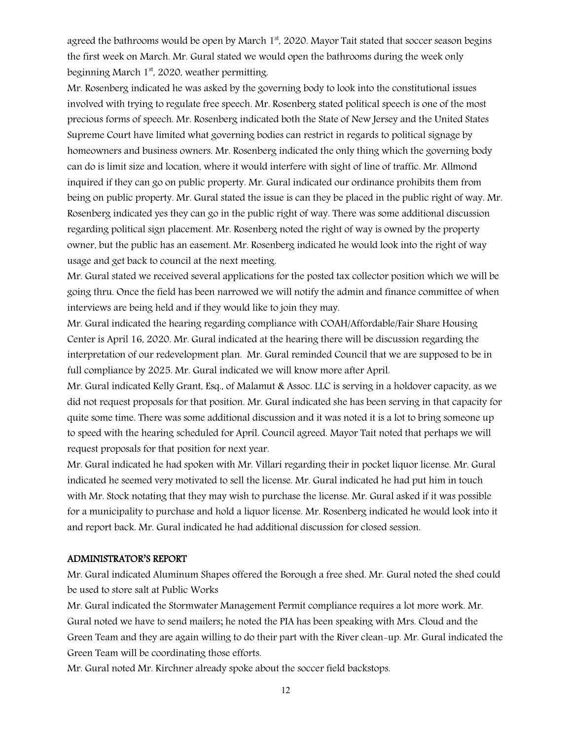agreed the bathrooms would be open by March  $1<sup>st</sup>$ , 2020. Mayor Tait stated that soccer season begins the first week on March. Mr. Gural stated we would open the bathrooms during the week only beginning March  $1<sup>st</sup>$ , 2020, weather permitting.

Mr. Rosenberg indicated he was asked by the governing body to look into the constitutional issues involved with trying to regulate free speech. Mr. Rosenberg stated political speech is one of the most precious forms of speech. Mr. Rosenberg indicated both the State of New Jersey and the United States Supreme Court have limited what governing bodies can restrict in regards to political signage by homeowners and business owners. Mr. Rosenberg indicated the only thing which the governing body can do is limit size and location, where it would interfere with sight of line of traffic. Mr. Allmond inquired if they can go on public property. Mr. Gural indicated our ordinance prohibits them from being on public property. Mr. Gural stated the issue is can they be placed in the public right of way. Mr. Rosenberg indicated yes they can go in the public right of way. There was some additional discussion regarding political sign placement. Mr. Rosenberg noted the right of way is owned by the property owner, but the public has an easement. Mr. Rosenberg indicated he would look into the right of way usage and get back to council at the next meeting.

Mr. Gural stated we received several applications for the posted tax collector position which we will be going thru. Once the field has been narrowed we will notify the admin and finance committee of when interviews are being held and if they would like to join they may.

Mr. Gural indicated the hearing regarding compliance with COAH/Affordable/Fair Share Housing Center is April 16, 2020. Mr. Gural indicated at the hearing there will be discussion regarding the interpretation of our redevelopment plan. Mr. Gural reminded Council that we are supposed to be in full compliance by 2025. Mr. Gural indicated we will know more after April.

Mr. Gural indicated Kelly Grant, Esq., of Malamut & Assoc. LLC is serving in a holdover capacity, as we did not request proposals for that position. Mr. Gural indicated she has been serving in that capacity for quite some time. There was some additional discussion and it was noted it is a lot to bring someone up to speed with the hearing scheduled for April. Council agreed. Mayor Tait noted that perhaps we will request proposals for that position for next year.

Mr. Gural indicated he had spoken with Mr. Villari regarding their in pocket liquor license. Mr. Gural indicated he seemed very motivated to sell the license. Mr. Gural indicated he had put him in touch with Mr. Stock notating that they may wish to purchase the license. Mr. Gural asked if it was possible for a municipality to purchase and hold a liquor license. Mr. Rosenberg indicated he would look into it and report back. Mr. Gural indicated he had additional discussion for closed session.

#### ADMINISTRATOR'S REPORT

Mr. Gural indicated Aluminum Shapes offered the Borough a free shed. Mr. Gural noted the shed could be used to store salt at Public Works

Mr. Gural indicated the Stormwater Management Permit compliance requires a lot more work. Mr. Gural noted we have to send mailers; he noted the PIA has been speaking with Mrs. Cloud and the Green Team and they are again willing to do their part with the River clean-up. Mr. Gural indicated the Green Team will be coordinating those efforts.

Mr. Gural noted Mr. Kirchner already spoke about the soccer field backstops.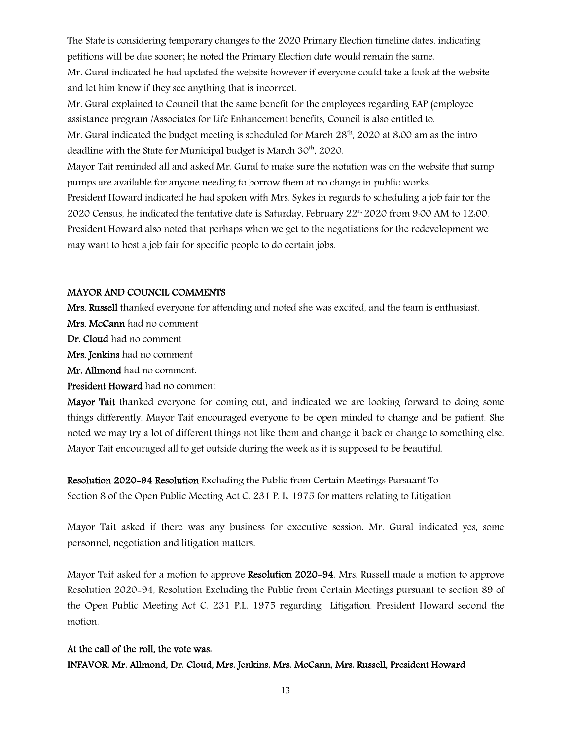The State is considering temporary changes to the 2020 Primary Election timeline dates, indicating petitions will be due sooner; he noted the Primary Election date would remain the same.

Mr. Gural indicated he had updated the website however if everyone could take a look at the website and let him know if they see anything that is incorrect.

Mr. Gural explained to Council that the same benefit for the employees regarding EAP (employee assistance program /Associates for Life Enhancement benefits, Council is also entitled to.

Mr. Gural indicated the budget meeting is scheduled for March  $28<sup>th</sup>$ , 2020 at 8:00 am as the intro deadline with the State for Municipal budget is March 30<sup>th</sup>, 2020.

Mayor Tait reminded all and asked Mr. Gural to make sure the notation was on the website that sump pumps are available for anyone needing to borrow them at no change in public works.

President Howard indicated he had spoken with Mrs. Sykes in regards to scheduling a job fair for the 2020 Census, he indicated the tentative date is Saturday, February 22n, 2020 from 9:00 AM to 12:00. President Howard also noted that perhaps when we get to the negotiations for the redevelopment we may want to host a job fair for specific people to do certain jobs.

# MAYOR AND COUNCIL COMMENTS

Mrs. Russell thanked everyone for attending and noted she was excited, and the team is enthusiast.

Mrs. McCann had no comment

Dr. Cloud had no comment

Mrs. Jenkins had no comment

Mr. Allmond had no comment.

President Howard had no comment

Mayor Tait thanked everyone for coming out, and indicated we are looking forward to doing some things differently. Mayor Tait encouraged everyone to be open minded to change and be patient. She noted we may try a lot of different things not like them and change it back or change to something else. Mayor Tait encouraged all to get outside during the week as it is supposed to be beautiful.

Resolution 2020-94 Resolution Excluding the Public from Certain Meetings Pursuant To Section 8 of the Open Public Meeting Act C. 231 P. L. 1975 for matters relating to Litigation

Mayor Tait asked if there was any business for executive session. Mr. Gural indicated yes, some personnel, negotiation and litigation matters.

Mayor Tait asked for a motion to approve Resolution 2020–94. Mrs. Russell made a motion to approve Resolution 2020-94, Resolution Excluding the Public from Certain Meetings pursuant to section 89 of the Open Public Meeting Act C. 231 P.L. 1975 regarding Litigation. President Howard second the motion.

# At the call of the roll, the vote was:

INFAVOR: Mr. Allmond, Dr. Cloud, Mrs. Jenkins, Mrs. McCann, Mrs. Russell, President Howard